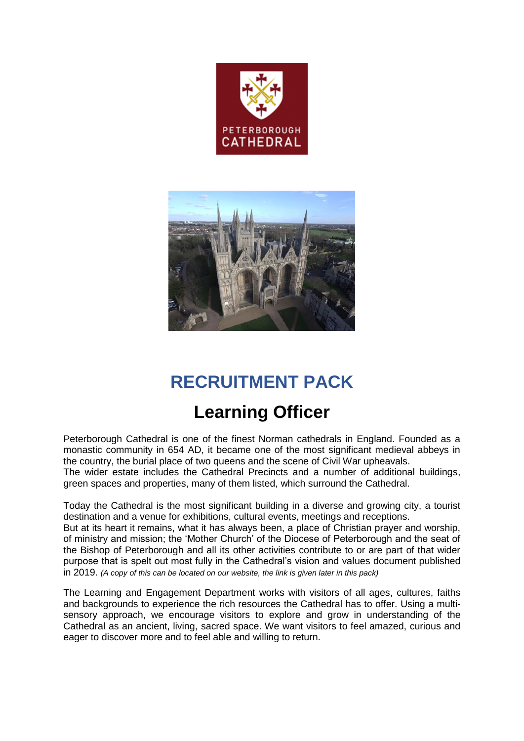



# **RECRUITMENT PACK**

# **Learning Officer**

Peterborough Cathedral is one of the finest Norman cathedrals in England. Founded as a monastic community in 654 AD, it became one of the most significant medieval abbeys in the country, the burial place of two queens and the scene of Civil War upheavals.

The wider estate includes the Cathedral Precincts and a number of additional buildings, green spaces and properties, many of them listed, which surround the Cathedral.

Today the Cathedral is the most significant building in a diverse and growing city, a tourist destination and a venue for exhibitions, cultural events, meetings and receptions.

But at its heart it remains, what it has always been, a place of Christian prayer and worship, of ministry and mission; the 'Mother Church' of the Diocese of Peterborough and the seat of the Bishop of Peterborough and all its other activities contribute to or are part of that wider purpose that is spelt out most fully in the Cathedral's vision and values document published in 2019. *(A copy of this can be located on our website, the link is given later in this pack)*

The Learning and Engagement Department works with visitors of all ages, cultures, faiths and backgrounds to experience the rich resources the Cathedral has to offer. Using a multisensory approach, we encourage visitors to explore and grow in understanding of the Cathedral as an ancient, living, sacred space. We want visitors to feel amazed, curious and eager to discover more and to feel able and willing to return.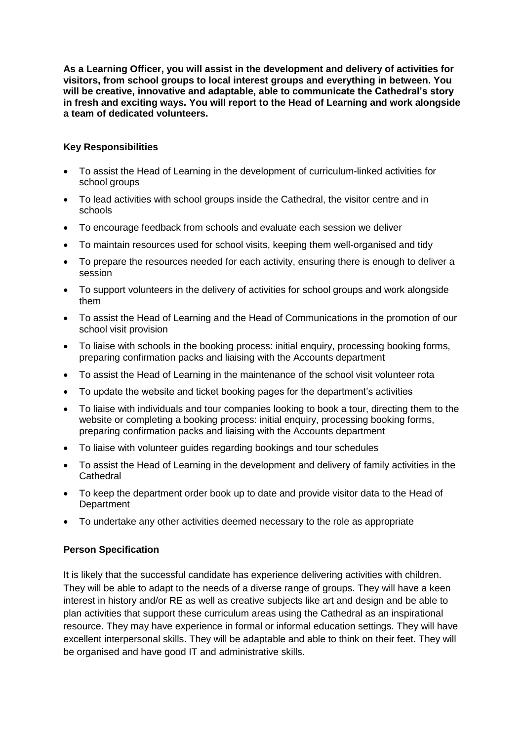**As a Learning Officer, you will assist in the development and delivery of activities for visitors, from school groups to local interest groups and everything in between. You will be creative, innovative and adaptable, able to communicate the Cathedral's story in fresh and exciting ways. You will report to the Head of Learning and work alongside a team of dedicated volunteers.**

### **Key Responsibilities**

- To assist the Head of Learning in the development of curriculum-linked activities for school groups
- To lead activities with school groups inside the Cathedral, the visitor centre and in schools
- To encourage feedback from schools and evaluate each session we deliver
- To maintain resources used for school visits, keeping them well-organised and tidy
- To prepare the resources needed for each activity, ensuring there is enough to deliver a session
- To support volunteers in the delivery of activities for school groups and work alongside them
- To assist the Head of Learning and the Head of Communications in the promotion of our school visit provision
- To liaise with schools in the booking process: initial enquiry, processing booking forms, preparing confirmation packs and liaising with the Accounts department
- To assist the Head of Learning in the maintenance of the school visit volunteer rota
- To update the website and ticket booking pages for the department's activities
- To liaise with individuals and tour companies looking to book a tour, directing them to the website or completing a booking process: initial enquiry, processing booking forms, preparing confirmation packs and liaising with the Accounts department
- To liaise with volunteer guides regarding bookings and tour schedules
- To assist the Head of Learning in the development and delivery of family activities in the **Cathedral**
- To keep the department order book up to date and provide visitor data to the Head of **Department**
- To undertake any other activities deemed necessary to the role as appropriate

## **Person Specification**

It is likely that the successful candidate has experience delivering activities with children. They will be able to adapt to the needs of a diverse range of groups. They will have a keen interest in history and/or RE as well as creative subjects like art and design and be able to plan activities that support these curriculum areas using the Cathedral as an inspirational resource. They may have experience in formal or informal education settings. They will have excellent interpersonal skills. They will be adaptable and able to think on their feet. They will be organised and have good IT and administrative skills.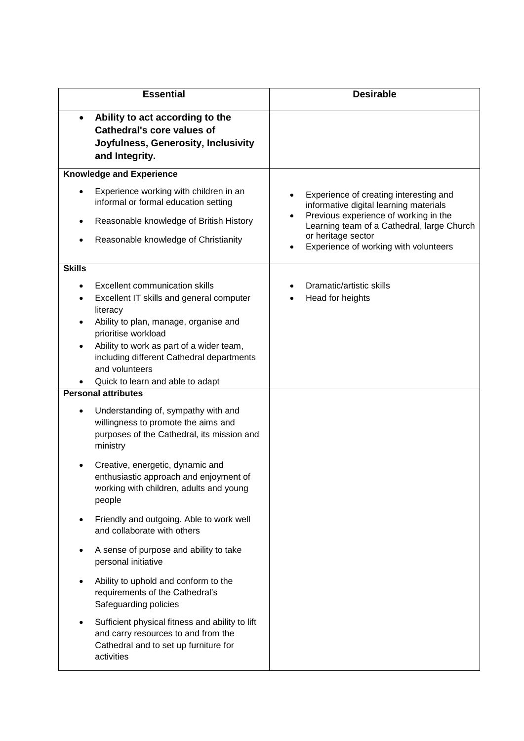| <b>Essential</b>                                               |                                                                                                                                                                                                                                                        | <b>Desirable</b>                                                                                                                                                                                                                       |
|----------------------------------------------------------------|--------------------------------------------------------------------------------------------------------------------------------------------------------------------------------------------------------------------------------------------------------|----------------------------------------------------------------------------------------------------------------------------------------------------------------------------------------------------------------------------------------|
| $\bullet$                                                      | Ability to act according to the<br><b>Cathedral's core values of</b><br>Joyfulness, Generosity, Inclusivity<br>and Integrity.                                                                                                                          |                                                                                                                                                                                                                                        |
| <b>Knowledge and Experience</b>                                |                                                                                                                                                                                                                                                        |                                                                                                                                                                                                                                        |
|                                                                | Experience working with children in an<br>informal or formal education setting<br>Reasonable knowledge of British History<br>Reasonable knowledge of Christianity                                                                                      | Experience of creating interesting and<br>informative digital learning materials<br>Previous experience of working in the<br>Learning team of a Cathedral, large Church<br>or heritage sector<br>Experience of working with volunteers |
| <b>Skills</b>                                                  |                                                                                                                                                                                                                                                        |                                                                                                                                                                                                                                        |
|                                                                | <b>Excellent communication skills</b><br>Excellent IT skills and general computer<br>literacy<br>Ability to plan, manage, organise and<br>prioritise workload<br>Ability to work as part of a wider team,<br>including different Cathedral departments | Dramatic/artistic skills<br>Head for heights                                                                                                                                                                                           |
|                                                                | and volunteers                                                                                                                                                                                                                                         |                                                                                                                                                                                                                                        |
| Quick to learn and able to adapt<br><b>Personal attributes</b> |                                                                                                                                                                                                                                                        |                                                                                                                                                                                                                                        |
|                                                                | Understanding of, sympathy with and<br>willingness to promote the aims and<br>purposes of the Cathedral, its mission and<br>ministry                                                                                                                   |                                                                                                                                                                                                                                        |
|                                                                | Creative, energetic, dynamic and<br>enthusiastic approach and enjoyment of<br>working with children, adults and young<br>people                                                                                                                        |                                                                                                                                                                                                                                        |
|                                                                | Friendly and outgoing. Able to work well<br>and collaborate with others                                                                                                                                                                                |                                                                                                                                                                                                                                        |
|                                                                | A sense of purpose and ability to take<br>personal initiative                                                                                                                                                                                          |                                                                                                                                                                                                                                        |
|                                                                | Ability to uphold and conform to the<br>requirements of the Cathedral's<br>Safeguarding policies                                                                                                                                                       |                                                                                                                                                                                                                                        |
|                                                                | Sufficient physical fitness and ability to lift<br>and carry resources to and from the<br>Cathedral and to set up furniture for<br>activities                                                                                                          |                                                                                                                                                                                                                                        |